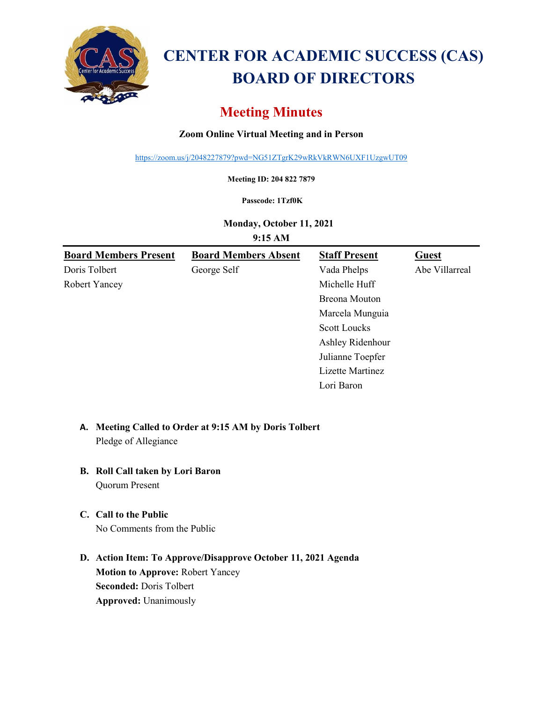

# **CENTER FOR ACADEMIC SUCCESS (CAS) BOARD OF DIRECTORS**

# **Meeting Minutes**

## **Zoom Online Virtual Meeting and in Person**

<https://zoom.us/j/2048227879?pwd=NG51ZTgrK29wRkVkRWN6UXF1UzgwUT09>

**Meeting ID: 204 822 7879**

#### **Passcode: 1Tzf0K**

#### **Monday, October 11, 2021**

**9:15 AM**

| <b>Board Members Present</b> | <b>Board Members Absent</b> | <b>Staff Present</b> | <b>Guest</b>   |
|------------------------------|-----------------------------|----------------------|----------------|
| Doris Tolbert                | George Self                 | Vada Phelps          | Abe Villarreal |
| <b>Robert Yancey</b>         |                             | Michelle Huff        |                |
|                              |                             | Breona Mouton        |                |
|                              |                             | Marcela Munguia      |                |
|                              |                             | <b>Scott Loucks</b>  |                |
|                              |                             | Ashley Ridenhour     |                |
|                              |                             | Julianne Toepfer     |                |
|                              |                             | Lizette Martinez     |                |
|                              |                             | Lori Baron           |                |

# **A. Meeting Called to Order at 9:15 AM by Doris Tolbert** Pledge of Allegiance

**B. Roll Call taken by Lori Baron**

Quorum Present

### **C. Call to the Public**

No Comments from the Public

**D. Action Item: To Approve/Disapprove October 11, 2021 Agenda Motion to Approve:** Robert Yancey **Seconded:** Doris Tolbert **Approved:** Unanimously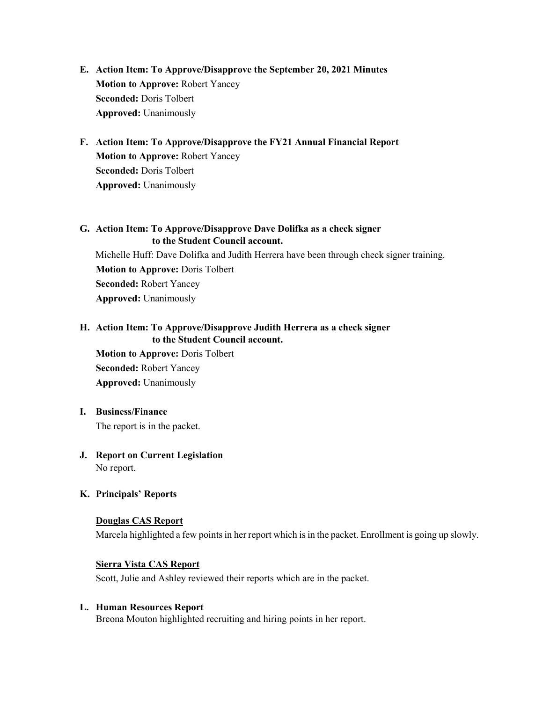- **E. Action Item: To Approve/Disapprove the September 20, 2021 Minutes Motion to Approve:** Robert Yancey **Seconded:** Doris Tolbert **Approved:** Unanimously
- **F. Action Item: To Approve/Disapprove the FY21 Annual Financial Report Motion to Approve:** Robert Yancey **Seconded:** Doris Tolbert **Approved:** Unanimously
- **G. Action Item: To Approve/Disapprove Dave Dolifka as a check signer to the Student Council account.**

 Michelle Huff: Dave Dolifka and Judith Herrera have been through check signer training. **Motion to Approve:** Doris Tolbert **Seconded:** Robert Yancey **Approved:** Unanimously

#### **H. Action Item: To Approve/Disapprove Judith Herrera as a check signer to the Student Council account.**

**Motion to Approve:** Doris Tolbert **Seconded:** Robert Yancey **Approved:** Unanimously

**I. Business/Finance**

The report is in the packet.

**J. Report on Current Legislation** No report.

#### **K. Principals' Reports**

#### **Douglas CAS Report**

Marcela highlighted a few points in her report which is in the packet. Enrollment is going up slowly.

#### **Sierra Vista CAS Report**

Scott, Julie and Ashley reviewed their reports which are in the packet.

#### **L. Human Resources Report**

Breona Mouton highlighted recruiting and hiring points in her report.